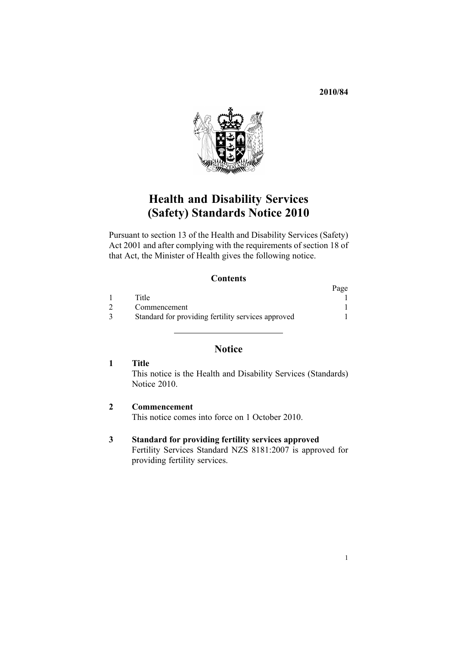**2010/84**



# **Health and Disability Services (Safety) Standards Notice 2010**

Pursuant to [section](http://www.legislation.govt.nz/pdflink.aspx?id=DLM120545) 13 of the Health and Disability Services (Safety) Act 2001 and after complying with the requirements of [section](http://www.legislation.govt.nz/pdflink.aspx?id=DLM120550) 18 of that Act, the Minister of Health gives the following notice.

### **Contents**

|                                                    | Page |
|----------------------------------------------------|------|
| Title                                              |      |
| Commencement                                       |      |
| Standard for providing fertility services approved |      |

## **Notice**

| - Title                                                       |
|---------------------------------------------------------------|
| This notice is the Health and Disability Services (Standards) |
| Notice 2010.                                                  |

**2 Commencement** This notice comes into force on 1 October 2010.

### **3 Standard for providing fertility services approved**

Fertility Services Standard NZS 8181:2007 is approved for providing fertility services.